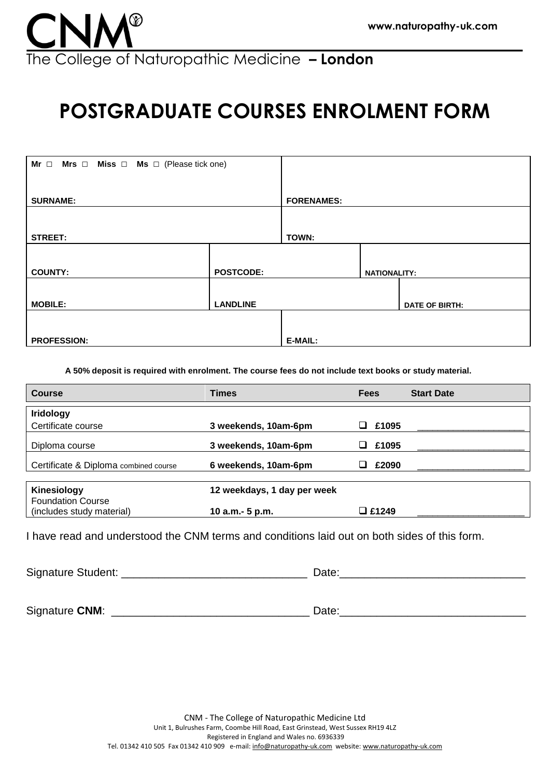

# **POSTGRADUATE COURSES ENROLMENT FORM**

| Mr $\Box$ Mrs $\Box$ Miss $\Box$ Ms $\Box$ (Please tick one) |  |                   |                     |                |
|--------------------------------------------------------------|--|-------------------|---------------------|----------------|
| <b>SURNAME:</b>                                              |  | <b>FORENAMES:</b> |                     |                |
|                                                              |  |                   |                     |                |
| <b>STREET:</b>                                               |  | TOWN:             |                     |                |
|                                                              |  |                   |                     |                |
| <b>COUNTY:</b><br><b>POSTCODE:</b>                           |  |                   | <b>NATIONALITY:</b> |                |
|                                                              |  |                   |                     |                |
| <b>LANDLINE</b><br><b>MOBILE:</b>                            |  |                   |                     | DATE OF BIRTH: |
|                                                              |  |                   |                     |                |
| <b>PROFESSION:</b>                                           |  | E-MAIL:           |                     |                |

**A 50% deposit is required with enrolment. The course fees do not include text books or study material.**

| <b>Course</b>                         | <b>Times</b>                | <b>Fees</b>    | <b>Start Date</b> |
|---------------------------------------|-----------------------------|----------------|-------------------|
| <b>Iridology</b>                      |                             |                |                   |
| Certificate course                    | 3 weekends, 10am-6pm        | £1095          |                   |
| Diploma course                        | 3 weekends, 10am-6pm        | £1095          |                   |
| Certificate & Diploma combined course | 6 weekends, 10am-6pm        | £2090          |                   |
|                                       |                             |                |                   |
| Kinesiology                           | 12 weekdays, 1 day per week |                |                   |
| <b>Foundation Course</b>              |                             |                |                   |
| (includes study material)             | 10 a.m. - 5 p.m.            | <b>□ £1249</b> |                   |

I have read and understood the CNM terms and conditions laid out on both sides of this form.

Signature Student: \_\_\_\_\_\_\_\_\_\_\_\_\_\_\_\_\_\_\_\_\_\_\_\_\_\_\_\_\_\_ Date:\_\_\_\_\_\_\_\_\_\_\_\_\_\_\_\_\_\_\_\_\_\_\_\_\_\_\_\_\_\_

Signature **CNM**: \_\_\_\_\_\_\_\_\_\_\_\_\_\_\_\_\_\_\_\_\_\_\_\_\_\_\_\_\_\_\_\_ Date:\_\_\_\_\_\_\_\_\_\_\_\_\_\_\_\_\_\_\_\_\_\_\_\_\_\_\_\_\_\_